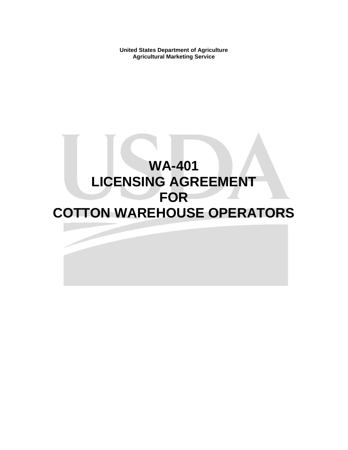**United States Department of Agriculture Agricultural Marketing Service** 

# **WA-401 LICENSING AGREEMENT FOR COTTON WAREHOUSE OPERATORS**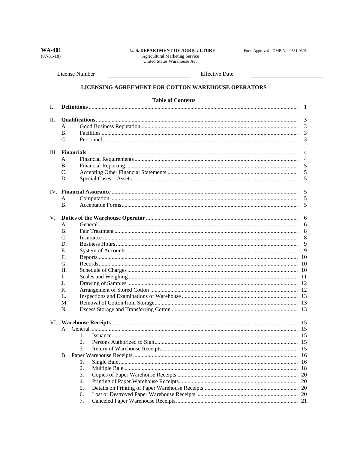**WA-401**  $(07-31-18)$ 

## **U. S. DEPARTMENT OF AGRICULTURE** Agricultural Marketing Service<br>United States Warehouse Act

Form Approved - OMB No. 0581-0305

License Number

**Effective Date** 

## LICENSING AGREEMENT FOR COTTON WAREHOUSE OPERATORS

|    | <b>Table of Contents</b> |                |  |  |  |
|----|--------------------------|----------------|--|--|--|
| Ι. |                          | -1             |  |  |  |
|    |                          | 3              |  |  |  |
| П. |                          | 3              |  |  |  |
|    | А.                       |                |  |  |  |
|    | <b>B.</b>                | 3              |  |  |  |
|    | C.                       | 3              |  |  |  |
|    |                          | $\overline{4}$ |  |  |  |
|    | А.                       | $\overline{4}$ |  |  |  |
|    | В.                       | 5              |  |  |  |
|    | C.                       | 5              |  |  |  |
|    | D.                       | 5              |  |  |  |
|    |                          | 5              |  |  |  |
|    | A.                       | 5              |  |  |  |
|    | <b>B.</b>                | 5              |  |  |  |
|    |                          |                |  |  |  |
| V. |                          | 6              |  |  |  |
|    | А.                       | 6              |  |  |  |
|    | <b>B.</b>                | 8              |  |  |  |
|    | C.                       | 8              |  |  |  |
|    | D.                       | 9              |  |  |  |
|    | Е.                       | 9              |  |  |  |
|    | F.                       | 10             |  |  |  |
|    | G.                       | -10            |  |  |  |
|    | H.                       |                |  |  |  |
|    | L.                       |                |  |  |  |
|    | J.                       |                |  |  |  |
| K. |                          |                |  |  |  |
| L. |                          |                |  |  |  |
| M. |                          |                |  |  |  |
|    | N.                       |                |  |  |  |
|    |                          |                |  |  |  |
|    |                          |                |  |  |  |
|    | 1.                       |                |  |  |  |
|    | 2.                       |                |  |  |  |
|    | 3.                       |                |  |  |  |
|    |                          | -16            |  |  |  |
|    | 1.                       | 16             |  |  |  |
|    | 2.                       | -18            |  |  |  |
|    | 3.                       | 20             |  |  |  |
|    | 4.                       | 20             |  |  |  |
|    | 5.                       |                |  |  |  |
|    | 6.                       |                |  |  |  |
|    | 7.                       | 21             |  |  |  |
|    |                          |                |  |  |  |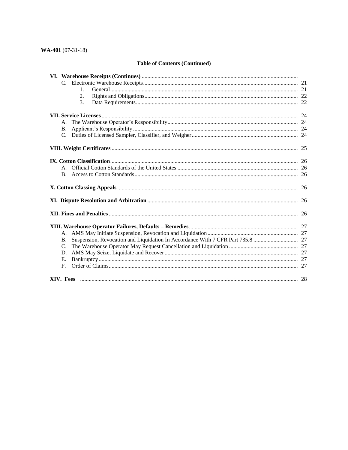## **Table of Contents (Continued)**

| $\mathbf{1}$ . |  |
|----------------|--|
| 2.             |  |
| 3.             |  |
|                |  |
| A.             |  |
| В.             |  |
| $C_{\cdot}$    |  |
|                |  |
|                |  |
|                |  |
| <b>B.</b>      |  |
|                |  |
|                |  |
|                |  |
|                |  |
| A.             |  |
| <b>B.</b>      |  |
| $C_{\cdot}$    |  |
| D.             |  |
| E.             |  |
| F.             |  |
|                |  |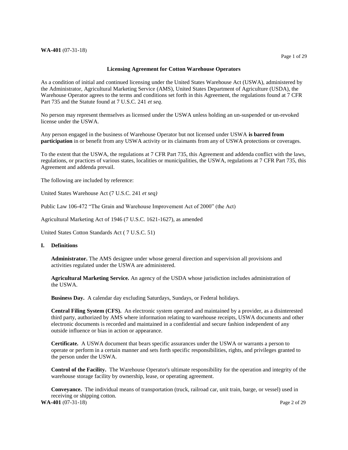#### **WA-401** (07-31-18)

#### **Licensing Agreement for Cotton Warehouse Operators**

 As a condition of initial and continued licensing under the United States Warehouse Act (USWA), administered by the Administrator, Agricultural Marketing Service (AMS), United States Department of Agriculture (USDA), the Warehouse Operator agrees to the terms and conditions set forth in this Agreement, the regulations found at 7 CFR Part 735 and the Statute found at 7 U.S.C. 241 *et seq*.

 No person may represent themselves as licensed under the USWA unless holding an un-suspended or un-revoked license under the USWA.

 Any person engaged in the business of Warehouse Operator but not licensed under USWA **is barred from participation** in or benefit from any USWA activity or its claimants from any of USWA protections or coverages.

 To the extent that the USWA, the regulations at 7 CFR Part 735, this Agreement and addenda conflict with the laws, regulations, or practices of various states, localities or municipalities, the USWA, regulations at 7 CFR Part 735, this Agreement and addenda prevail.

The following are included by reference:

United States Warehouse Act (7 U.S.C. 241 *et seq)* 

Public Law 106-472 "The Grain and Warehouse Improvement Act of 2000" (the Act)

Agricultural Marketing Act of 1946 (7 U.S.C. 1621-1627), as amended

United States Cotton Standards Act ( 7 U.S.C. 51)

#### **I. Definitions**

 **Administrator.** The AMS designee under whose general direction and supervision all provisions and activities regulated under the USWA are administered.

 **Agricultural Marketing Service.** An agency of the USDA whose jurisdiction includes administration of the USWA.

**Business Day.** A calendar day excluding Saturdays, Sundays, or Federal holidays.

 **Central Filing System (CFS).** An electronic system operated and maintained by a provider, as a disinterested third party, authorized by AMS where information relating to warehouse receipts, USWA documents and other electronic documents is recorded and maintained in a confidential and secure fashion independent of any outside influence or bias in action or appearance.

 **Certificate.** A USWA document that bears specific assurances under the USWA or warrants a person to operate or perform in a certain manner and sets forth specific responsibilities, rights, and privileges granted to the person under the USWA.

 **Control of the Facility.** The Warehouse Operator's ultimate responsibility for the operation and integrity of the warehouse storage facility by ownership, lease, or operating agreement.

 **Conveyance.** The individual means of transportation (truck, railroad car, unit train, barge, or vessel) used in receiving or shipping cotton.

**WA-401** (07-31-18) Page 2 of 29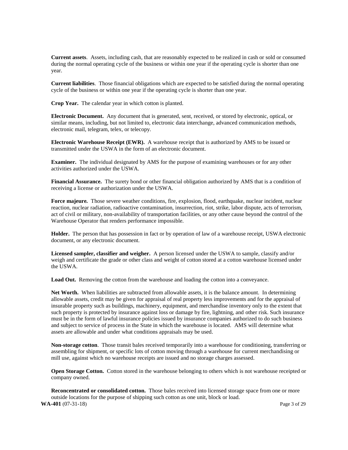<span id="page-4-0"></span> **Current assets**. Assets, including cash, that are reasonably expected to be realized in cash or sold or consumed during the normal operating cycle of the business or within one year if the operating cycle is shorter than one year.

 **Current liabilities**. Those financial obligations which are expected to be satisfied during the normal operating cycle of the business or within one year if the operating cycle is shorter than one year.

**Crop Year.** The calendar year in which cotton is planted.

 **Electronic Document.** Any document that is generated, sent, received, or stored by electronic, optical, or similar means, including, but not limited to, electronic data interchange, advanced communication methods, electronic mail, telegram, telex, or telecopy.

 **Electronic Warehouse Receipt (EWR).** A warehouse receipt that is authorized by AMS to be issued or transmitted under the USWA in the form of an electronic document.

 **Examiner.** The individual designated by AMS for the purpose of examining warehouses or for any other activities authorized under the USWA.

 **Financial Assurance.** The surety bond or other financial obligation authorized by AMS that is a condition of receiving a license or authorization under the USWA.

 **Force majeure***.* Those severe weather conditions, fire, explosion, flood, earthquake, nuclear incident, nuclear reaction, nuclear radiation, radioactive contamination, insurrection, riot, strike, labor dispute, acts of terrorism, act of civil or military, non-availability of transportation facilities, or any other cause beyond the control of the Warehouse Operator that renders performance impossible.

 **Holder.** The person that has possession in fact or by operation of law of a warehouse receipt, USWA electronic document, or any electronic document.

 **Licensed sampler, classifier and weigher.** A person licensed under the USWA to sample, classify and/or weigh and certificate the grade or other class and weight of cotton stored at a cotton warehouse licensed under the USWA.

Load Out. Removing the cotton from the warehouse and loading the cotton into a conveyance.

 **Net Worth.** When liabilities are subtracted from allowable assets, it is the balance amount. In determining allowable assets, credit may be given for appraisal of real property less improvements and for the appraisal of insurable property such as buildings, machinery, equipment, and merchandise inventory only to the extent that such property is protected by insurance against loss or damage by fire, lightning, and other risk. Such insurance must be in the form of lawful insurance policies issued by insurance companies authorized to do such business and subject to service of process in the State in which the warehouse is located. AMS will determine what assets are allowable and under what conditions appraisals may be used.

 **Non-storage cotton**. Those transit bales received temporarily into a warehouse for conditioning, transferring or assembling for shipment, or specific lots of cotton moving through a warehouse for current merchandising or mill use, against which no warehouse receipts are issued and no storage charges assessed.

 **Open Storage Cotton.** Cotton stored in the warehouse belonging to others which is not warehouse receipted or company owned.

 **Reconcentrated or consolidated cotton.** Those bales received into licensed storage space from one or more outside locations for the purpose of shipping such cotton as one unit, block or load. **WA-401** (07-31-18) Page 3 of 29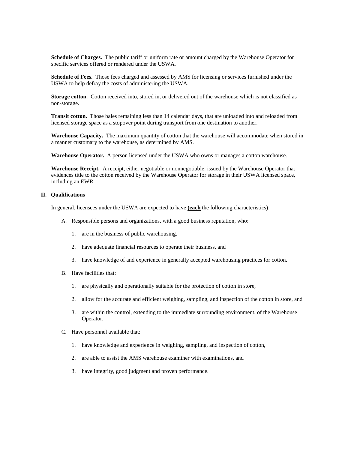**Schedule of Charges.** The public tariff or uniform rate or amount charged by the Warehouse Operator for specific services offered or rendered under the USWA.

 **Schedule of Fees.** Those fees charged and assessed by AMS for licensing or services furnished under the USWA to help defray the costs of administering the USWA.

 **Storage cotton.** Cotton received into, stored in, or delivered out of the warehouse which is not classified as non-storage.

 **Transit cotton.** Those bales remaining less than 14 calendar days, that are unloaded into and reloaded from licensed storage space as a stopover point during transport from one destination to another.

 **Warehouse Capacity.** The maximum quantity of cotton that the warehouse will accommodate when stored in a manner customary to the warehouse, as determined by AMS.

**Warehouse Operator.** A person licensed under the USWA who owns or manages a cotton warehouse.

 **Warehouse Receipt.** A receipt, either negotiable or nonnegotiable, issued by the Warehouse Operator that evidences title to the cotton received by the Warehouse Operator for storage in their USWA licensed space, including an EWR.

#### **II. Qualifications**

In general, licensees under the USWA are expected to have **(each** the following characteristics):

- A. Responsible persons and organizations, with a good business reputation, who:
	- 1. are in the business of public warehousing.
	- 2. have adequate financial resources to operate their business, and
	- 3. have knowledge of and experience in generally accepted warehousing practices for cotton.
- B. Have facilities that:
	- 1. are physically and operationally suitable for the protection of cotton in store,
	- 2. allow for the accurate and efficient weighing, sampling, and inspection of the cotton in store, and
	- 3. are within the control, extending to the immediate surrounding environment, of the Warehouse Operator.
- C. Have personnel available that:
	- 1. have knowledge and experience in weighing, sampling, and inspection of cotton,
	- 2. are able to assist the AMS warehouse examiner with examinations, and
	- 3. have integrity, good judgment and proven performance.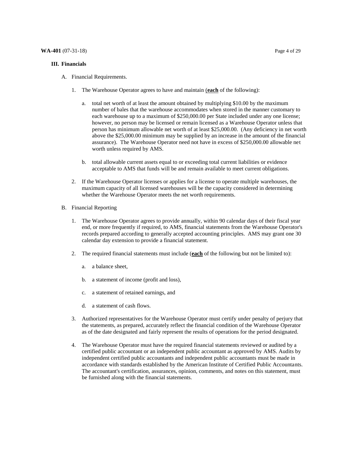#### <span id="page-6-0"></span>**III. Financials**

- 1. The Warehouse Operator agrees to have and maintain (**each** of the following):
	- a. total net worth of at least the amount obtained by multiplying \$10.00 by the maximum number of bales that the warehouse accommodates when stored in the manner customary to each warehouse up to a maximum of \$[250,000.00](https://250,000.00) per State included under any one license; however, no person may be licensed or remain licensed as a Warehouse Operator unless that person has minimum allowable net worth of at least \$[25,000.00.](https://25,000.00) (Any deficiency in net worth above the [\\$25,000.00](https://25,000.00) minimum may be supplied by an increase in the amount of the financial assurance). The Warehouse Operator need not have in excess of \$[250,000.00](https://250,000.00) allowable net worth unless required by AMS.
	- b. total allowable current assets equal to or exceeding total current liabilities or evidence acceptable to AMS that funds will be and remain available to meet current obligations.
- 2. If the Warehouse Operator licenses or applies for a license to operate multiple warehouses, the maximum capacity of all licensed warehouses will be the capacity considered in determining whether the Warehouse Operator meets the net worth requirements.
- B. Financial Reporting
	- 1. The Warehouse Operator agrees to provide annually, within 90 calendar days of their fiscal year end, or more frequently if required, to AMS, financial statements from the Warehouse Operator's records prepared according to generally accepted accounting principles. AMS may grant one 30 calendar day extension to provide a financial statement.
	- 2. The required financial statements must include (**each** of the following but not be limited to):
		- a. a balance sheet,
		- b. a statement of income (profit and loss),
		- c. a statement of retained earnings, and
		- d. a statement of cash flows.
	- 3. Authorized representatives for the Warehouse Operator must certify under penalty of perjury that the statements, as prepared, accurately reflect the financial condition of the Warehouse Operator as of the date designated and fairly represent the results of operations for the period designated.
	- 4. The Warehouse Operator must have the required financial statements reviewed or audited by a certified public accountant or an independent public accountant as approved by AMS. Audits by independent certified public accountants and independent public accountants must be made in accordance with standards established by the American Institute of Certified Public Accountants. The accountant's certification, assurances, opinion, comments, and notes on this statement, must be furnished along with the financial statements.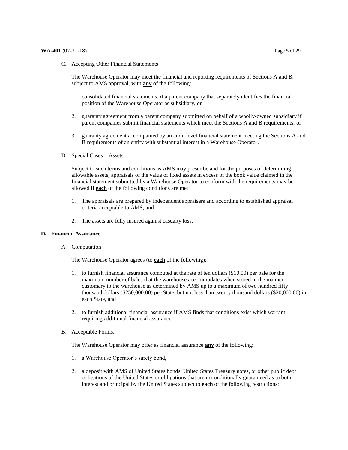C. Accepting Other Financial Statements

 The Warehouse Operator may meet the financial and reporting requirements of Sections A and B, subject to AMS approval, with **any** of the following:

- 1. consolidated financial statements of a parent company that separately identifies the financial position of the Warehouse Operator as subsidiary, or
- 2. guaranty agreement from a parent company submitted on behalf of a wholly-owned subsidiary if parent companies submit financial statements which meet the Sections A and B requirements, or
- 3. guaranty agreement accompanied by an audit level financial statement meeting the Sections A and B requirements of an entity with substantial interest in a Warehouse Operator.
- D. Special Cases Assets

 Subject to such terms and conditions as AMS may prescribe and for the purposes of determining allowable assets, appraisals of the value of fixed assets in excess of the book value claimed in the financial statement submitted by a Warehouse Operator to conform with the requirements may be allowed if **each** of the following conditions are met:

- 1. The appraisals are prepared by independent appraisers and according to established appraisal criteria acceptable to AMS, and
- 2. The assets are fully insured against casualty loss.

#### **IV. Financial Assurance**

A. Computation

The Warehouse Operator agrees (to **each** of the following):

- 1. to furnish financial assurance computed at the rate of ten dollars (\$10.00) per bale for the maximum number of bales that the warehouse accommodates when stored in the manner customary to the warehouse as determined by AMS up to a maximum of two hundred fifty thousand dollars (\$[250,000.00\)](https://250,000.00) per State, but not less than twenty thousand dollars (\$[20,000.00\)](https://20,000.00) in each State, and
- 2. to furnish additional financial assurance if AMS finds that conditions exist which warrant requiring additional financial assurance.
- B. Acceptable Forms.

The Warehouse Operator may offer as financial assurance **any** of the following:

- 1. a Warehouse Operator's surety bond,
- 2. a deposit with AMS of United States bonds, United States Treasury notes, or other public debt obligations of the United States or obligations that are unconditionally guaranteed as to both interest and principal by the United States subject to **each** of the following restrictions: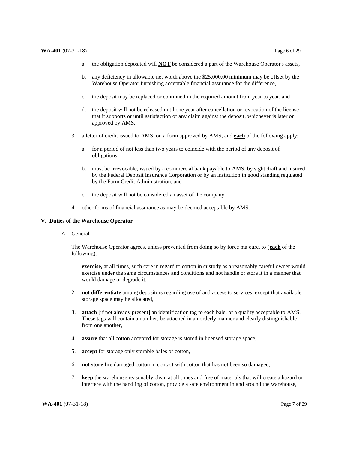- a. the obligation deposited will **NOT** be considered a part of the Warehouse Operator's assets,
- b. any deficiency in allowable net worth above the [\\$25,000.00](https://25,000.00) minimum may be offset by the Warehouse Operator furnishing acceptable financial assurance for the difference,
- c. the deposit may be replaced or continued in the required amount from year to year, and
- d. the deposit will not be released until one year after cancellation or revocation of the license that it supports or until satisfaction of any claim against the deposit, whichever is later or approved by AMS.
- 3. a letter of credit issued to AMS, on a form approved by AMS, and **each** of the following apply:
	- a. for a period of not less than two years to coincide with the period of any deposit of obligations,
	- b. must be irrevocable, issued by a commercial bank payable to AMS, by sight draft and insured by the Federal Deposit Insurance Corporation or by an institution in good standing regulated by the Farm Credit Administration, and
	- c. the deposit will not be considered an asset of the company.
- 4. other forms of financial assurance as may be deemed acceptable by AMS.

#### **V. Duties of the Warehouse Operator**

A. General

 The Warehouse Operator agrees, unless prevented from doing so by force majeure, to (**each** of the following):

- 1. **exercise,** at all times, such care in regard to cotton in custody as a reasonably careful owner would exercise under the same circumstances and conditions and not handle or store it in a manner that would damage or degrade it,
- 2. **not differentiate** among depositors regarding use of and access to services, except that available storage space may be allocated,
- 3. **attach** [if not already present] an identification tag to each bale, of a quality acceptable to AMS. These tags will contain a number, be attached in an orderly manner and clearly distinguishable from one another,
- 4. **assure** that all cotton accepted for storage is stored in licensed storage space,
- 5. **accept** for storage only storable bales of cotton,
- 6. **not store** fire damaged cotton in contact with cotton that has not been so damaged,
- 7. **keep** the warehouse reasonably clean at all times and free of materials that will create a hazard or interfere with the handling of cotton, provide a safe environment in and around the warehouse,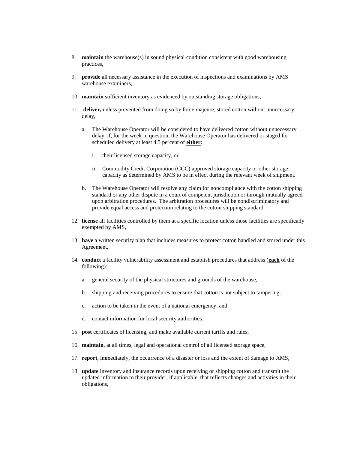- 8. **maintain** the warehouse(s) in sound physical condition consistent with good warehousing practices,
- 9. **provide** all necessary assistance in the execution of inspections and examinations by AMS warehouse examiners,
- 10. **maintain** sufficient inventory as evidenced by outstanding storage obligations,
- 11. **deliver,** unless prevented from doing so by force majeure, stored cotton without unnecessary delay,
	- a. The Warehouse Operator will be considered to have delivered cotton without unnecessary delay, if, for the week in question, the Warehouse Operator has delivered or staged for scheduled delivery at least 4.5 percent of **either**:
		- i. their licensed storage capacity, or
		- ii. Commodity Credit Corporation (CCC) approved storage capacity or other storage capacity as determined by AMS to be in effect during the relevant week of shipment.
	- b. The Warehouse Operator will resolve any claim for noncompliance with the cotton shipping standard or any other dispute in a court of competent jurisdiction or through mutually agreed upon arbitration procedures. The arbitration procedures will be nondiscriminatory and provide equal access and protection relating to the cotton shipping standard.
- 12. **license** all facilities controlled by them at a specific location unless those facilities are specifically exempted by AMS,
- 13. **have** a written security plan that includes measures to protect cotton handled and stored under this Agreement,
- 14. **conduct** a facility vulnerability assessment and establish procedures that address (**each** of the following):
	- a. general security of the physical structures and grounds of the warehouse,
	- b. shipping and receiving procedures to ensure that cotton is not subject to tampering,
	- c. action to be taken in the event of a national emergency, and
	- d. contact information for local security authorities.
- 15. **post** certificates of licensing, and make available current tariffs and rules,
- 16. **maintain**, at all times, legal and operational control of all licensed storage space,
- 17. **report**, immediately, the occurrence of a disaster or loss and the extent of damage to AMS,
- 18. **update** inventory and insurance records upon receiving or shipping cotton and transmit the updated information to their provider, if applicable, that reflects changes and activities in their obligations,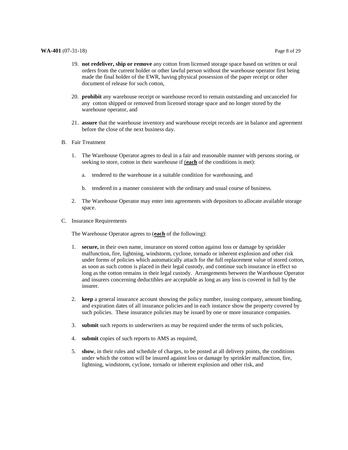- <span id="page-10-0"></span> 20. **prohibit** any warehouse receipt or warehouse record to remain outstanding and uncanceled for any cotton shipped or removed from licensed storage space and no longer stored by the warehouse operator, and
- 21. **assure** that the warehouse inventory and warehouse receipt records are in balance and agreement before the close of the next business day.
- B. Fair Treatment
	- 1. The Warehouse Operator agrees to deal in a fair and reasonable manner with persons storing, or seeking to store, cotton in their warehouse if (**each** of the conditions is met):
		- a. tendered to the warehouse in a suitable condition for warehousing, and
		- b. tendered in a manner consistent with the ordinary and usual course of business.
	- 2. The Warehouse Operator may enter into agreements with depositors to allocate available storage space.
- C. Insurance Requirements

The Warehouse Operator agrees to (**each** of the following):

- 1. **secure,** in their own name, insurance on stored cotton against loss or damage by sprinkler malfunction, fire, lightning, windstorm, cyclone, tornado or inherent explosion and other risk under forms of policies which automatically attach for the full replacement value of stored cotton, as soon as such cotton is placed in their legal custody, and continue such insurance in effect so long as the cotton remains in their legal custody. Arrangements between the Warehouse Operator and insurers concerning deductibles are acceptable as long as any loss is covered in full by the insurer.
- 2. **keep** a general insurance account showing the policy number, issuing company, amount binding, and expiration dates of all insurance policies and in each instance show the property covered by such policies. These insurance policies may be issued by one or more insurance companies.
- 3. **submit** such reports to underwriters as may be required under the terms of such policies,
- 4. **submit** copies of such reports to AMS as required,
- 5. **show**, in their rules and schedule of charges, to be posted at all delivery points, the conditions under which the cotton will be insured against loss or damage by sprinkler malfunction, fire, lightning, windstorm, cyclone, tornado or inherent explosion and other risk, and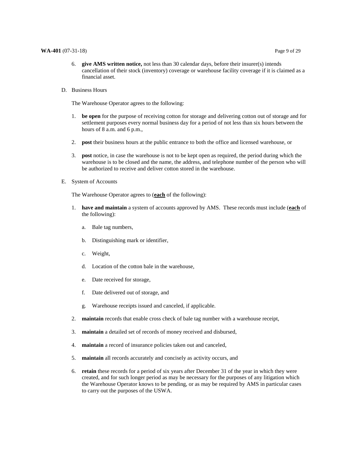#### **WA-401** (07-31-18) Page 9 of 29

- 6. **give AMS written notice,** not less than 30 calendar days, before their insurer(s) intends cancellation of their stock (inventory) coverage or warehouse facility coverage if it is claimed as a financial asset.
- D. Business Hours

The Warehouse Operator agrees to the following:

- 1. **be open** for the purpose of receiving cotton for storage and delivering cotton out of storage and for settlement purposes every normal business day for a period of not less than six hours between the hours of 8 a.m. and 6 p.m.,
- 2. **post** their business hours at the public entrance to both the office and licensed warehouse, or
- 3. **post** notice, in case the warehouse is not to be kept open as required, the period during which the warehouse is to be closed and the name, the address, and telephone number of the person who will be authorized to receive and deliver cotton stored in the warehouse.
- E. System of Accounts

The Warehouse Operator agrees to (**each** of the following):

- 1. **have and maintain** a system of accounts approved by AMS. These records must include (**each** of the following):
	- a. Bale tag numbers,
	- b. Distinguishing mark or identifier,
	- c. Weight,
	- d. Location of the cotton bale in the warehouse,
	- e. Date received for storage,
	- f. Date delivered out of storage, and
	- g. Warehouse receipts issued and canceled, if applicable.
- 2. **maintain** records that enable cross check of bale tag number with a warehouse receipt,
- 3. **maintain** a detailed set of records of money received and disbursed,
- 4. **maintain** a record of insurance policies taken out and canceled,
- 5. **maintain** all records accurately and concisely as activity occurs, and
- 6. **retain** these records for a period of six years after December 31 of the year in which they were created, and for such longer period as may be necessary for the purposes of any litigation which the Warehouse Operator knows to be pending, or as may be required by AMS in particular cases to carry out the purposes of the USWA.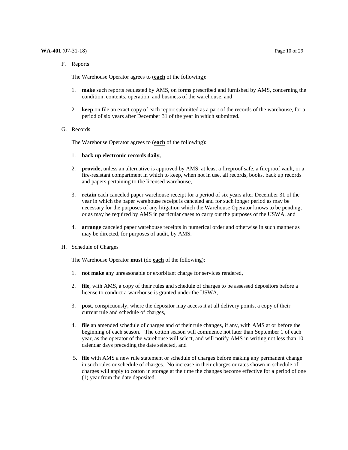#### **WA-401** (07-31-18) Page 10 of 29

F. Reports

The Warehouse Operator agrees to (**each** of the following):

- 1. **make** such reports requested by AMS, on forms prescribed and furnished by AMS, concerning the condition, contents, operation, and business of the warehouse, and
- 2. **keep** on file an exact copy of each report submitted as a part of the records of the warehouse, for a period of six years after December 31 of the year in which submitted.
- G. Records

The Warehouse Operator agrees to (**each** of the following):

- 1. **back up electronic records daily,**
- 2. **provide,** unless an alternative is approved by AMS, at least a fireproof safe, a fireproof vault, or a fire-resistant compartment in which to keep, when not in use, all records, books, back up records and papers pertaining to the licensed warehouse,
- 3. **retain** each canceled paper warehouse receipt for a period of six years after December 31 of the year in which the paper warehouse receipt is canceled and for such longer period as may be necessary for the purposes of any litigation which the Warehouse Operator knows to be pending, or as may be required by AMS in particular cases to carry out the purposes of the USWA, and
- 4. **arrange** canceled paper warehouse receipts in numerical order and otherwise in such manner as may be directed, for purposes of audit, by AMS.
- H. Schedule of Charges

The Warehouse Operator **must** (do **each** of the following):

- 1. **not make** any unreasonable or exorbitant charge for services rendered,
- 2. **file**, with AMS, a copy of their rules and schedule of charges to be assessed depositors before a license to conduct a warehouse is granted under the USWA,
- 3. **post**, conspicuously, where the depositor may access it at all delivery points, a copy of their current rule and schedule of charges,
- 4. **file** an amended schedule of charges and of their rule changes, if any, with AMS at or before the beginning of each season. The cotton season will commence not later than September 1 of each year, as the operator of the warehouse will select, and will notify AMS in writing not less than 10 calendar days preceding the date selected, and
- 5. **file** with AMS a new rule statement or schedule of charges before making any permanent change in such rules or schedule of charges. No increase in their charges or rates shown in schedule of charges will apply to cotton in storage at the time the changes become effective for a period of one (1) year from the date deposited.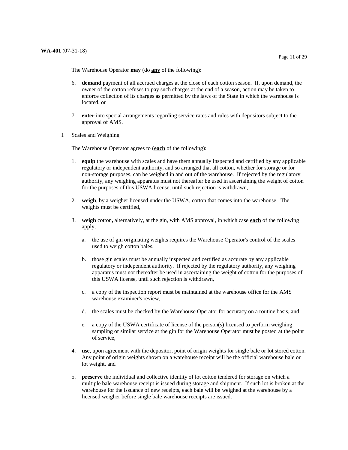The Warehouse Operator **may** (do **any** of the following):

- 6. **demand** payment of all accrued charges at the close of each cotton season. If, upon demand, the owner of the cotton refuses to pay such charges at the end of a season, action may be taken to enforce collection of its charges as permitted by the laws of the State in which the warehouse is located, or
- 7. **enter** into special arrangements regarding service rates and rules with depositors subject to the approval of AMS.
- I. Scales and Weighing

The Warehouse Operator agrees to (**each** of the following):

- 1. **equip** the warehouse with scales and have them annually inspected and certified by any applicable regulatory or independent authority, and so arranged that all cotton, whether for storage or for non-storage purposes, can be weighed in and out of the warehouse. If rejected by the regulatory authority, any weighing apparatus must not thereafter be used in ascertaining the weight of cotton for the purposes of this USWA license, until such rejection is withdrawn,
- 2. **weigh**, by a weigher licensed under the USWA, cotton that comes into the warehouse. The weights must be certified,
- 3. **weigh** cotton**,** alternatively, at the gin, with AMS approval, in which case **each** of the following apply, apply,<br>a. the use of gin originating weights requires the Warehouse Operator's control of the scales
	- used to weigh cotton bales,
	- b. those gin scales must be annually inspected and certified as accurate by any applicable regulatory or independent authority. If rejected by the regulatory authority, any weighing apparatus must not thereafter be used in ascertaining the weight of cotton for the purposes of this USWA license, until such rejection is withdrawn,
	- c. a copy of the inspection report must be maintained at the warehouse office for the AMS warehouse examiner's review,
	- d. the scales must be checked by the Warehouse Operator for accuracy on a routine basis, and
	- e. a copy of the USWA certificate of license of the person(s) licensed to perform weighing, sampling or similar service at the gin for the Warehouse Operator must be posted at the point of service,
- 4. **use**, upon agreement with the depositor, point of origin weights for single bale or lot stored cotton. Any point of origin weights shown on a warehouse receipt will be the official warehouse bale or lot weight, and
- 5. **preserve** the individual and collective identity of lot cotton tendered for storage on which a multiple bale warehouse receipt is issued during storage and shipment. If such lot is broken at the warehouse for the issuance of new receipts, each bale will be weighed at the warehouse by a licensed weigher before single bale warehouse receipts are issued.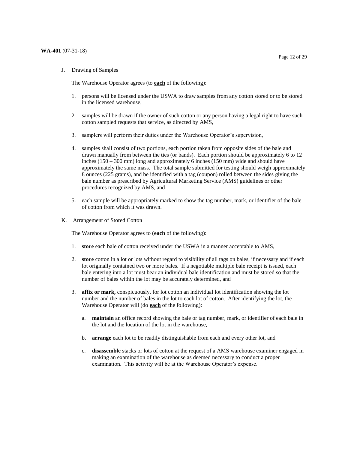J. Drawing of Samples

The Warehouse Operator agrees (to **each** of the following):

- 1. persons will be licensed under the USWA to draw samples from any cotton stored or to be stored in the licensed warehouse,
- 2. samples will be drawn if the owner of such cotton or any person having a legal right to have such cotton sampled requests that service, as directed by AMS,
- 3. samplers will perform their duties under the Warehouse Operator's supervision,
- 4. samples shall consist of two portions, each portion taken from opposite sides of the bale and drawn manually from between the ties (or bands). Each portion should be approximately 6 to 12 inches (150 – 300 mm) long and approximately 6 inches (150 mm) wide and should have approximately the same mass. The total sample submitted for testing should weigh approximately 8 ounces (225 grams), and be identified with a tag (coupon) rolled between the sides giving the bale number as prescribed by Agricultural Marketing Service (AMS) guidelines or other procedures recognized by AMS, and
- 5. each sample will be appropriately marked to show the tag number, mark, or identifier of the bale of cotton from which it was drawn.
- K. Arrangement of Stored Cotton

The Warehouse Operator agrees to (**each** of the following):

- 1. **store** each bale of cotton received under the USWA in a manner acceptable to AMS,
- 2. **store** cotton in a lot or lots without regard to visibility of all tags on bales, if necessary and if each lot originally contained two or more bales. If a negotiable multiple bale receipt is issued, each bale entering into a lot must bear an individual bale identification and must be stored so that the number of bales within the lot may be accurately determined, and
- 3. **affix or mark,** conspicuously, for lot cotton an individual lot identification showing the lot number and the number of bales in the lot to each lot of cotton. After identifying the lot, the Warehouse Operator will (do **each** of the following):
	- a. **maintain** an office record showing the bale or tag number, mark, or identifier of each bale in the lot and the location of the lot in the warehouse,
	- b. **arrange** each lot to be readily distinguishable from each and every other lot, and
	- c. **disassemble** stacks or lots of cotton at the request of a AMS warehouse examiner engaged in making an examination of the warehouse as deemed necessary to conduct a proper examination. This activity will be at the Warehouse Operator's expense.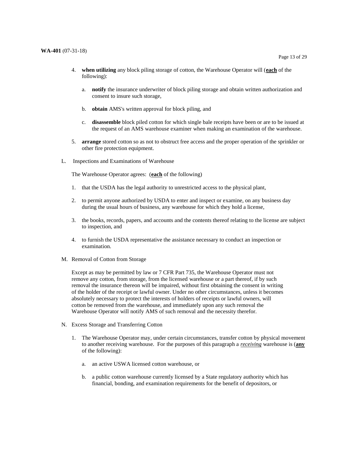- 4. **when utilizing** any block piling storage of cotton, the Warehouse Operator will (**each** of the following):
	- a. **notify** the insurance underwriter of block piling storage and obtain written authorization and consent to insure such storage,
	- b. **obtain** AMS's written approval for block piling, and
	- c. **disassemble** block piled cotton for which single bale receipts have been or are to be issued at the request of an AMS warehouse examiner when making an examination of the warehouse.
- 5. **arrange** stored cotton so as not to obstruct free access and the proper operation of the sprinkler or other fire protection equipment.
- L. Inspections and Examinations of Warehouse

The Warehouse Operator agrees: (**each** of the following)

- 1. that the USDA has the legal authority to unrestricted access to the physical plant,
- 2. to permit anyone authorized by USDA to enter and inspect or examine, on any business day during the usual hours of business, any warehouse for which they hold a license,
- 3. the books, records, papers, and accounts and the contents thereof relating to the license are subject to inspection, and
- 4. to furnish the USDA representative the assistance necessary to conduct an inspection or examination.
- M. Removal of Cotton from Storage

 Except as may be permitted by law or 7 CFR Part 735, the Warehouse Operator must not remove any cotton, from storage, from the licensed warehouse or a part thereof, if by such removal the insurance thereon will be impaired, without first obtaining the consent in writing of the holder of the receipt or lawful owner. Under no other circumstances, unless it becomes absolutely necessary to protect the interests of holders of receipts or lawful owners, will cotton be removed from the warehouse, and immediately upon any such removal the Warehouse Operator will notify AMS of such removal and the necessity therefor.

- N. Excess Storage and Transferring Cotton
	- 1. The Warehouse Operator may, under certain circumstances, transfer cotton by physical movement to another receiving warehouse. For the purposes of this paragraph a *receiving* warehouse is (**any**  of the following):
		- a. an active USWA licensed cotton warehouse, or
		- b. a public cotton warehouse currently licensed by a State regulatory authority which has financial, bonding, and examination requirements for the benefit of depositors, or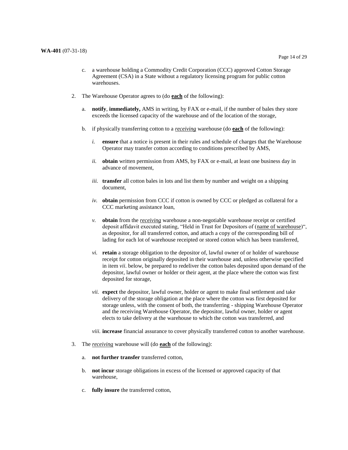- 2. The Warehouse Operator agrees to (do **each** of the following):
	- a. **notify**, **immediately,** AMS in writing, by FAX or e-mail, if the number of bales they store exceeds the licensed capacity of the warehouse and of the location of the storage,
	- b. if physically transferring cotton to a *receiving* warehouse (do **each** of the following):
		- *i.* **ensure** that a notice is present in their rules and schedule of charges that the Warehouse Operator may transfer cotton according to conditions prescribed by AMS,
		- *ii.* **obtain** written permission from AMS, by FAX or e-mail, at least one business day in advance of movement,
		- *iii.* **transfer** all cotton bales in lots and list them by number and weight on a shipping document,
		- *iv.* **obtain** permission from CCC if cotton is owned by CCC or pledged as collateral for a CCC marketing assistance loan,
		- *v.* **obtain** from the *receiving* warehouse a non-negotiable warehouse receipt or certified deposit affidavit executed stating, "Held in Trust for Depositors of (name of warehouse)", as depositor, for all transferred cotton, and attach a copy of the corresponding bill of lading for each lot of warehouse receipted or stored cotton which has been transferred,
		- *vi.* **retain** a storage obligation to the depositor of, lawful owner of or holder of warehouse receipt for cotton originally deposited in their warehouse and, unless otherwise specified in item *vii*. below, be prepared to redeliver the cotton bales deposited upon demand of the depositor, lawful owner or holder or their agent, at the place where the cotton was first deposited for storage,
		- *vii.* **expect** the depositor, lawful owner, holder or agent to make final settlement and take delivery of the storage obligation at the place where the cotton was first deposited for storage unless, with the consent of both, the transferring - shipping Warehouse Operator and the receiving Warehouse Operator, the depositor, lawful owner, holder or agent elects to take delivery at the warehouse to which the cotton was transferred, and
		- *viii.* **increase** financial assurance to cover physically transferred cotton to another warehouse.
- 3. The *receiving* warehouse will (do **each** of the following):
	- a. **not further transfer** transferred cotton,
	- b. **not incur** storage obligations in excess of the licensed or approved capacity of that warehouse,
	- c. **fully insure** the transferred cotton,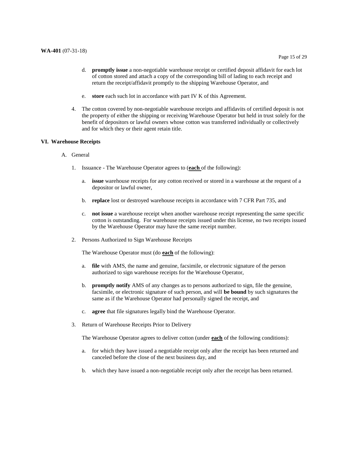- e. **store** each such lot in accordance with part IV K of this Agreement.
- 4. The cotton covered by non-negotiable warehouse receipts and affidavits of certified deposit is not the property of either the shipping or receiving Warehouse Operator but held in trust solely for the benefit of depositors or lawful owners whose cotton was transferred individually or collectively and for which they or their agent retain title.

#### **VI. Warehouse Receipts**

- A. General
	- 1. Issuance The Warehouse Operator agrees to (**each** of the following):
		- a. **issue** warehouse receipts for any cotton received or stored in a warehouse at the request of a depositor or lawful owner,
		- b. **replace** lost or destroyed warehouse receipts in accordance with 7 CFR Part 735, and
		- c. **not issue** a warehouse receipt when another warehouse receipt representing the same specific cotton is outstanding. For warehouse receipts issued under this license, no two receipts issued by the Warehouse Operator may have the same receipt number.
	- 2. Persons Authorized to Sign Warehouse Receipts

The Warehouse Operator must (do **each** of the following):

- a. **file** with AMS, the name and genuine, facsimile, or electronic signature of the person authorized to sign warehouse receipts for the Warehouse Operator,
- b. **promptly notify** AMS of any changes as to persons authorized to sign, file the genuine, facsimile, or electronic signature of such person, and will **be bound** by such signatures the same as if the Warehouse Operator had personally signed the receipt, and
- c. **agree** that file signatures legally bind the Warehouse Operator.
- 3. Return of Warehouse Receipts Prior to Delivery

The Warehouse Operator agrees to deliver cotton (under **each** of the following conditions):

- a. for which they have issued a negotiable receipt only after the receipt has been returned and canceled before the close of the next business day, and
- b. which they have issued a non-negotiable receipt only after the receipt has been returned.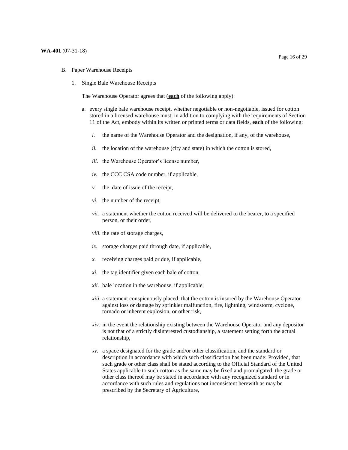- B. Paper Warehouse Receipts
	- 1. Single Bale Warehouse Receipts

The Warehouse Operator agrees that (**each** of the following apply):

- a. every single bale warehouse receipt, whether negotiable or non-negotiable, issued for cotton stored in a licensed warehouse must, in addition to complying with the requirements of Section 11 of the Act, embody within its written or printed terms or data fields, **each** of the following:
	- *i.* the name of the Warehouse Operator and the designation, if any, of the warehouse,
	- *ii.* the location of the warehouse (city and state) in which the cotton is stored,
	- *iii.* the Warehouse Operator's license number,
	- *iv.* the CCC CSA code number, if applicable,
	- *v.* the date of issue of the receipt,
	- *vi.* the number of the receipt,
	- *vii.* a statement whether the cotton received will be delivered to the bearer, to a specified person, or their order,
	- *viii.* the rate of storage charges,
	- *ix.* storage charges paid through date, if applicable,
	- *x.* receiving charges paid or due, if applicable,
	- *xi.* the tag identifier given each bale of cotton,
	- *xii.* bale location in the warehouse, if applicable,
	- *xiii.* a statement conspicuously placed, that the cotton is insured by the Warehouse Operator against loss or damage by sprinkler malfunction, fire, lightning, windstorm, cyclone, tornado or inherent explosion, or other risk,
	- *xiv.* in the event the relationship existing between the Warehouse Operator and any depositor is not that of a strictly disinterested custodianship, a statement setting forth the actual relationship,
	- *xv.* a space designated for the grade and/or other classification, and the standard or description in accordance with which such classification has been made: Provided, that such grade or other class shall be stated according to the Official Standard of the United States applicable to such cotton as the same may be fixed and promulgated, the grade or other class thereof may be stated in accordance with any recognized standard or in accordance with such rules and regulations not inconsistent herewith as may be prescribed by the Secretary of Agriculture,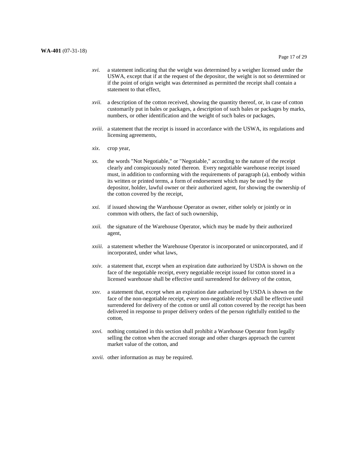- *xvi.* a statement indicating that the weight was determined by a weigher licensed under the USWA, except that if at the request of the depositor, the weight is not so determined or if the point of origin weight was determined as permitted the receipt shall contain a statement to that effect,
- *xvii.* a description of the cotton received, showing the quantity thereof, or, in case of cotton customarily put in bales or packages, a description of such bales or packages by marks, numbers, or other identification and the weight of such bales or packages,
- *xviii*. a statement that the receipt is issued in accordance with the USWA, its regulations and licensing agreements,
- *xix*. crop year,
- *xx.* the words "Not Negotiable," or "Negotiable," according to the nature of the receipt clearly and conspicuously noted thereon. Every negotiable warehouse receipt issued must, in addition to conforming with the requirements of paragraph (a), embody within its written or printed terms, a form of endorsement which may be used by the depositor, holder, lawful owner or their authorized agent, for showing the ownership of the cotton covered by the receipt,
- *xxi.* if issued showing the Warehouse Operator as owner, either solely or jointly or in common with others, the fact of such ownership,
- *xxii.* the signature of the Warehouse Operator, which may be made by their authorized agent,
- *xxiii.* a statement whether the Warehouse Operator is incorporated or unincorporated, and if incorporated, under what laws,
- *xxiv.* a statement that, except when an expiration date authorized by USDA is shown on the face of the negotiable receipt, every negotiable receipt issued for cotton stored in a licensed warehouse shall be effective until surrendered for delivery of the cotton,
- *xxv.* a statement that, except when an expiration date authorized by USDA is shown on the surrendered for delivery of the cotton or until all cotton covered by the receipt has been delivered in response to proper delivery orders of the person rightfully entitled to the face of the non-negotiable receipt, every non-negotiable receipt shall be effective until cotton,
- *xxvi.* nothing contained in this section shall prohibit a Warehouse Operator from legally selling the cotton when the accrued storage and other charges approach the current market value of the cotton, and
- *xxvii.* other information as may be required.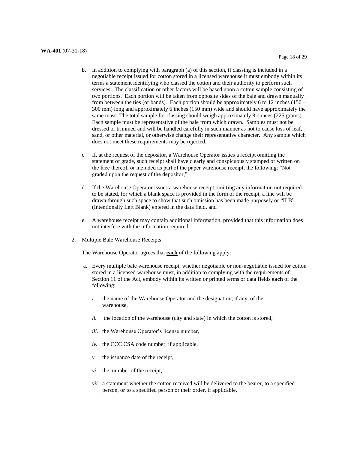#### **WA-401** (07-31-18)

- b. In addition to complying with paragraph (a) of this section, if classing is included in a negotiable receipt issued for cotton stored in a licensed warehouse it must embody within its terms a statement identifying who classed the cotton and their authority to perform such services. The classification or other factors will be based upon a cotton sample consisting of two portions. Each portion will be taken from opposite sides of the bale and drawn manually from between the ties (or bands). Each portion should be approximately 6 to 12 inches (150 – 300 mm) long and approximately 6 inches (150 mm) wide and should have approximately the same mass. The total sample for classing should weigh approximately 8 ounces (225 grams). Each sample must be representative of the bale from which drawn. Samples must not be dressed or trimmed and will be handled carefully in such manner as not to cause loss of leaf, sand, or other material, or otherwise change their representative character. Any sample which does not meet these requirements may be rejected,
- c. If, at the request of the depositor, a Warehouse Operator issues a receipt omitting the statement of grade, such receipt shall have clearly and conspicuously stamped or written on the face thereof, or included as part of the paper warehouse receipt, the following: "Not graded upon the request of the depositor,"
- d. If the Warehouse Operator issues a warehouse receipt omitting any information not required to be stated, for which a blank space is provided in the form of the receipt, a line will be drawn through such space to show that such omission has been made purposely or "ILB" (Intentionally Left Blank) entered in the data field, and
- e. A warehouse receipt may contain additional information, provided that this information does not interfere with the information required.
- 2. Multiple Bale Warehouse Receipts

The Warehouse Operator agrees that **each** of the following apply:

- a. Every multiple bale warehouse receipt, whether negotiable or non-negotiable issued for cotton stored in a licensed warehouse must, in addition to complying with the requirements of Section 11 of the Act, embody within its written or printed terms or data fields **each** of the following:
	- *i.* the name of the Warehouse Operator and the designation, if any, of the warehouse,
	- *ii.* the location of the warehouse (city and state) in which the cotton is stored,
	- *iii.* the Warehouse Operator's license number,
	- *iv.* the CCC CSA code number, if applicable,
	- *v.* the issuance date of the receipt,
	- *vi.* the number of the receipt,
	- *vii.* a statement whether the cotton received will be delivered to the bearer, to a specified person, or to a specified person or their order, if applicable,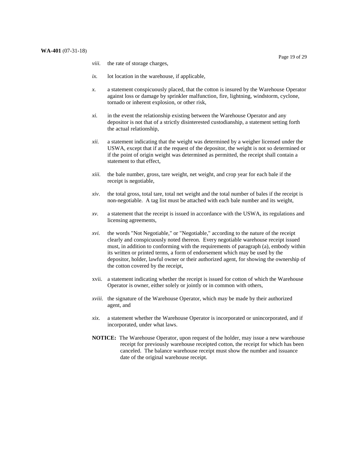- *viii.* the rate of storage charges,
- *ix.* lot location in the warehouse, if applicable,
- *x.* a statement conspicuously placed, that the cotton is insured by the Warehouse Operator against loss or damage by sprinkler malfunction, fire, lightning, windstorm, cyclone, tornado or inherent explosion, or other risk,
- *xi.* in the event the relationship existing between the Warehouse Operator and any depositor is not that of a strictly disinterested custodianship, a statement setting forth the actual relationship,
- *xii.* a statement indicating that the weight was determined by a weigher licensed under the USWA, except that if at the request of the depositor, the weight is not so determined or if the point of origin weight was determined as permitted, the receipt shall contain a statement to that effect,
- *xiii.* the bale number, gross, tare weight, net weight, and crop year for each bale if the receipt is negotiable,
- *xiv*. the total gross, total tare, total net weight and the total number of bales if the receipt is non-negotiable. A tag list must be attached with each bale number and its weight,
- *xv.* a statement that the receipt is issued in accordance with the USWA, its regulations and licensing agreements,
- *xvi.* the words "Not Negotiable," or "Negotiable," according to the nature of the receipt clearly and conspicuously noted thereon. Every negotiable warehouse receipt issued must, in addition to conforming with the requirements of paragraph (a), embody within its written or printed terms, a form of endorsement which may be used by the depositor, holder, lawful owner or their authorized agent, for showing the ownership of the cotton covered by the receipt,
- xvii. a statement indicating whether the receipt is issued for cotton of which the Warehouse Operator is owner, either solely or jointly or in common with others,
- *xviii.* the signature of the Warehouse Operator, which may be made by their authorized agent, and
- *xix.* a statement whether the Warehouse Operator is incorporated or unincorporated, and if incorporated, under what laws.
- **NOTICE:** The Warehouse Operator, upon request of the holder, may issue a new warehouse receipt for previously warehouse receipted cotton, the receipt for which has been canceled. The balance warehouse receipt must show the number and issuance date of the original warehouse receipt.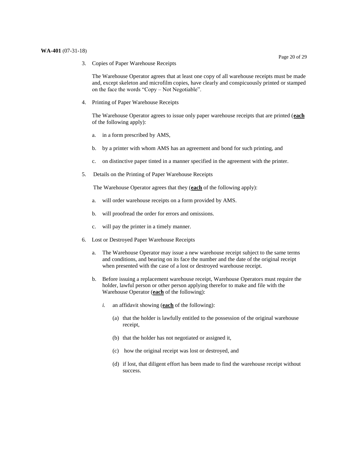The Warehouse Operator agrees that at least one copy of all warehouse receipts must be made and, except skeleton and microfilm copies, have clearly and conspicuously printed or stamped on the face the words "Copy – Not Negotiable".

4. Printing of Paper Warehouse Receipts

 The Warehouse Operator agrees to issue only paper warehouse receipts that are printed (**each**  of the following apply):

- a. in a form prescribed by AMS,
- b. by a printer with whom AMS has an agreement and bond for such printing, and
- c. on distinctive paper tinted in a manner specified in the agreement with the printer.
- 5. 5. Details on the Printing of Paper Warehouse Receipts

The Warehouse Operator agrees that they (**each** of the following apply):

- a. will order warehouse receipts on a form provided by AMS.
- b. will proofread the order for errors and omissions.
- c. will pay the printer in a timely manner.
- 6. Lost or Destroyed Paper Warehouse Receipts
	- a. The Warehouse Operator may issue a new warehouse receipt subject to the same terms and conditions, and bearing on its face the number and the date of the original receipt when presented with the case of a lost or destroyed warehouse receipt.
	- holder, lawful person or other person applying therefor to make and file with the b. Before issuing a replacement warehouse receipt, Warehouse Operators must require the Warehouse Operator (**each** of the following):
		- *i.* an affidavit showing (**each** of the following):
			- (a) that the holder is lawfully entitled to the possession of the original warehouse receipt,
			- (b) that the holder has not negotiated or assigned it,
			- (c) how the original receipt was lost or destroyed, and
			- (d) if lost, that diligent effort has been made to find the warehouse receipt without success.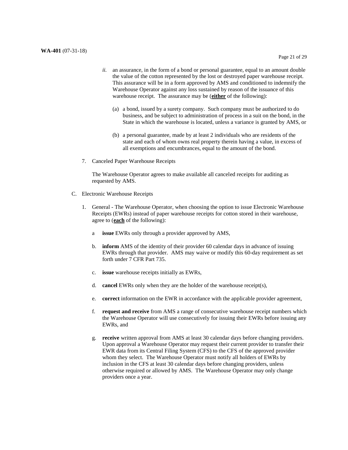- *ii.* an assurance, in the form of a bond or personal guarantee, equal to an amount double the value of the cotton represented by the lost or destroyed paper warehouse receipt. This assurance will be in a form approved by AMS and conditioned to indemnify the Warehouse Operator against any loss sustained by reason of the issuance of this warehouse receipt. The assurance may be (**either** of the following):
	- (a) a bond, issued by a surety company. Such company must be authorized to do business, and be subject to administration of process in a suit on the bond, in the State in which the warehouse is located, unless a variance is granted by AMS, or
	- (b) a personal guarantee, made by at least 2 individuals who are residents of the state and each of whom owns real property therein having a value, in excess of all exemptions and encumbrances, equal to the amount of the bond.
- 7. Canceled Paper Warehouse Receipts

 The Warehouse Operator agrees to make available all canceled receipts for auditing as requested by AMS.

- C. Electronic Warehouse Receipts
- C. Electronic Warehouse Receipts<br>1. General The Warehouse Operator, when choosing the option to issue Electronic Warehouse Receipts (EWRs) instead of paper warehouse receipts for cotton stored in their warehouse, agree to (**each** of the following):
	- a **issue** EWRs only through a provider approved by AMS,
	- b. **inform** AMS of the identity of their provider 60 calendar days in advance of issuing EWRs through that provider. AMS may waive or modify this 60-day requirement as set forth under 7 CFR Part 735.
	- c. **issue** warehouse receipts initially as EWRs,
	- $\mathbf{d}$ **cancel** EWRs only when they are the holder of the warehouse receipt(s),
	- e. **correct** information on the EWR in accordance with the applicable provider agreement,
	- f. **request and receive** from AMS a range of consecutive warehouse receipt numbers which the Warehouse Operator will use consecutively for issuing their EWRs before issuing any EWRs, and
	- g. **receive** written approval from AMS at least 30 calendar days before changing providers. Upon approval a Warehouse Operator may request their current provider to transfer their EWR data from its Central Filing System (CFS) to the CFS of the approved provider whom they select. The Warehouse Operator must notify all holders of EWRs by inclusion in the CFS at least 30 calendar days before changing providers, unless otherwise required or allowed by AMS. The Warehouse Operator may only change providers once a year.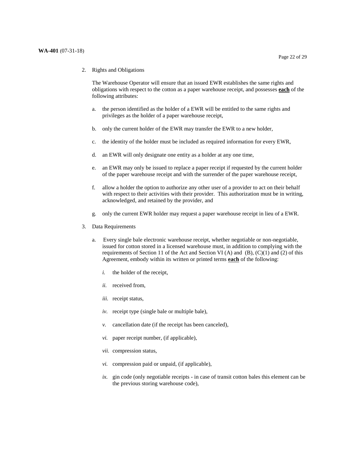2. Rights and Obligations

 The Warehouse Operator will ensure that an issued EWR establishes the same rights and obligations with respect to the cotton as a paper warehouse receipt, and possesses **each** of the following attributes:

- a. the person identified as the holder of a EWR will be entitled to the same rights and privileges as the holder of a paper warehouse receipt,
- b. only the current holder of the EWR may transfer the EWR to a new holder,
- c. the identity of the holder must be included as required information for every EWR,
- d. an EWR will only designate one entity as a holder at any one time,
- e. an EWR may only be issued to replace a paper receipt if requested by the current holder of the paper warehouse receipt and with the surrender of the paper warehouse receipt,
- f. allow a holder the option to authorize any other user of a provider to act on their behalf with respect to their activities with their provider. This authorization must be in writing, acknowledged, and retained by the provider, and
- g. only the current EWR holder may request a paper warehouse receipt in lieu of a EWR.
- 3. Data Requirements
	- a. issued for cotton stored in a licensed warehouse must, in addition to complying with the requirements of Section 11 of the Act and Section VI  $(A)$  and  $(B)$ ,  $(C)(1)$  and  $(2)$  of this Agreement, embody within its written or printed terms **each** of the following: Every single bale electronic warehouse receipt, whether negotiable or non-negotiable,
		- *i.* the holder of the receipt,
		- *ii.* received from,
		- *iii.* receipt status,
		- *iv.* receipt type (single bale or multiple bale),
		- *v.* cancellation date (if the receipt has been canceled),
		- *vi.* paper receipt number, (if applicable),
		- *vii.* compression status,
		- *vi.* compression paid or unpaid, (if applicable),
		- *ix.* gin code (only negotiable receipts in case of transit cotton bales this element can be the previous storing warehouse code),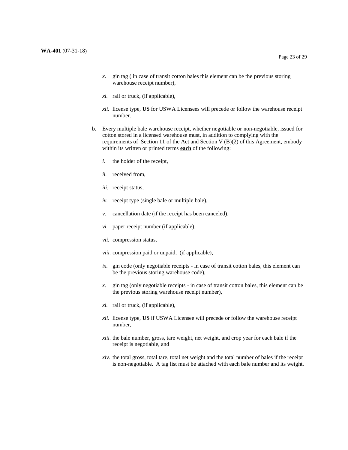- *x*. gin tag ( in case of transit cotton bales this element can be the previous storing warehouse receipt number),
- *xi.* rail or truck, (if applicable),
- *xii.* license type, **US** for USWA Licensees will precede or follow the warehouse receipt number.
- b. Every multiple bale warehouse receipt, whether negotiable or non-negotiable, issued for cotton stored in a licensed warehouse must, in addition to complying with the requirements of Section 11 of the Act and Section V (B)(2) of this Agreement, embody within its written or printed terms **each** of the following:
	- *i.* the holder of the receipt,
	- *ii.* received from,
	- *iii.* receipt status,
	- *iv.* receipt type (single bale or multiple bale),
	- *v.* cancellation date (if the receipt has been canceled),
	- *vi.* paper receipt number (if applicable),
	- *vii.* compression status,
	- *viii.* compression paid or unpaid, (if applicable),
	- *ix.* gin code (only negotiable receipts in case of transit cotton bales, this element can be the previous storing warehouse code),
	- *x.* gin tag (only negotiable receipts in case of transit cotton bales, this element can be the previous storing warehouse receipt number),
	- *xi.* rail or truck, (if applicable),
	- *xii*. license type, **US** if USWA Licensee will precede or follow the warehouse receipt number,
	- *xiii.* the bale number, gross, tare weight, net weight, and crop year for each bale if the receipt is negotiable, and
	- *xiv.* the total gross, total tare, total net weight and the total number of bales if the receipt is non-negotiable. A tag list must be attached with each bale number and its weight.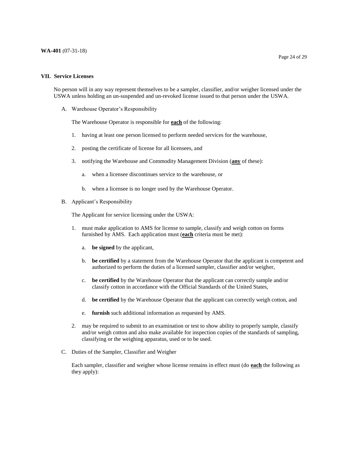#### **VII. Service Licenses**

 No person will in any way represent themselves to be a sampler, classifier, and/or weigher licensed under the USWA unless holding an un-suspended and un-revoked license issued to that person under the USWA.

A. Warehouse Operator's Responsibility

The Warehouse Operator is responsible for **each** of the following:

- 1. having at least one person licensed to perform needed services for the warehouse,
- 2. posting the certificate of license for all licensees, and
- 3. notifying the Warehouse and Commodity Management Division (**any** of these):
	- a. when a licensee discontinues service to the warehouse, or
	- b. when a licensee is no longer used by the Warehouse Operator.
- B. Applicant's Responsibility

The Applicant for service licensing under the USWA:

- 1. must make application to AMS for license to sample, classify and weigh cotton on forms furnished by AMS. Each application must (**each** criteria must be met):
	- a. **be signed** by the applicant,
	- authorized to perform the duties of a licensed sampler, classifier and/or weigher, b. **be certified** by a statement from the Warehouse Operator that the applicant is competent and
	- c. **be certified** by the Warehouse Operator that the applicant can correctly sample and/or classify cotton in accordance with the Official Standards of the United States,
	- d. **be certified** by the Warehouse Operator that the applicant can correctly weigh cotton, and
	- e. **furnish** such additional information as requested by AMS.
- 2. may be required to submit to an examination or test to show ability to properly sample, classify and/or weigh cotton and also make available for inspection copies of the standards of sampling, classifying or the weighing apparatus, used or to be used.
- C. Duties of the Sampler, Classifier and Weigher

 Each sampler, classifier and weigher whose license remains in effect must (do **each** the following as they apply):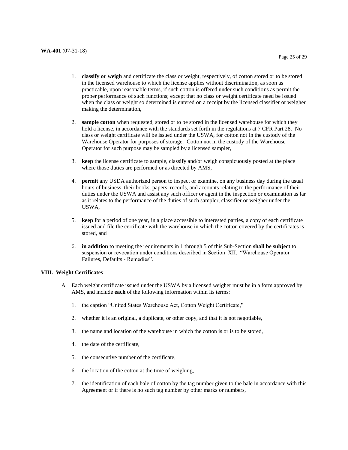- 1. **classify or weigh** and certificate the class or weight, respectively, of cotton stored or to be stored in the licensed warehouse to which the license applies without discrimination, as soon as practicable, upon reasonable terms, if such cotton is offered under such conditions as permit the proper performance of such functions; except that no class or weight certificate need be issued when the class or weight so determined is entered on a receipt by the licensed classifier or weigher making the determination,
- 2. **sample cotton** when requested, stored or to be stored in the licensed warehouse for which they hold a license, in accordance with the standards set forth in the regulations at 7 CFR Part 28. No class or weight certificate will be issued under the USWA, for cotton not in the custody of the Warehouse Operator for purposes of storage. Cotton not in the custody of the Warehouse Operator for such purpose may be sampled by a licensed sampler,
- 3. **keep** the license certificate to sample, classify and/or weigh conspicuously posted at the place where those duties are performed or as directed by AMS,
- 4. **permit** any USDA authorized person to inspect or examine, on any business day during the usual hours of business, their books, papers, records, and accounts relating to the performance of their duties under the USWA and assist any such officer or agent in the inspection or examination as far as it relates to the performance of the duties of such sampler, classifier or weigher under the USWA,
- 5. **keep** for a period of one year, in a place accessible to interested parties, a copy of each certificate issued and file the certificate with the warehouse in which the cotton covered by the certificates is stored, and
- 6. **in addition** to meeting the requirements in 1 through 5 of this Sub-Section **shall be subject** to suspension or revocation under conditions described in Section XII. "Warehouse Operator Failures, Defaults - Remedies".

#### **VIII. Weight Certificates**

- A. Each weight certificate issued under the USWA by a licensed weigher must be in a form approved by AMS, and include **each** of the following information within its terms:
	- 1. the caption "United States Warehouse Act, Cotton Weight Certificate,"
	- 2. whether it is an original, a duplicate, or other copy, and that it is not negotiable,
	- 3. the name and location of the warehouse in which the cotton is or is to be stored,
	- 4. the date of the certificate,
	- 5. the consecutive number of the certificate,
	- 6. the location of the cotton at the time of weighing,
	- 7. the identification of each bale of cotton by the tag number given to the bale in accordance with this Agreement or if there is no such tag number by other marks or numbers,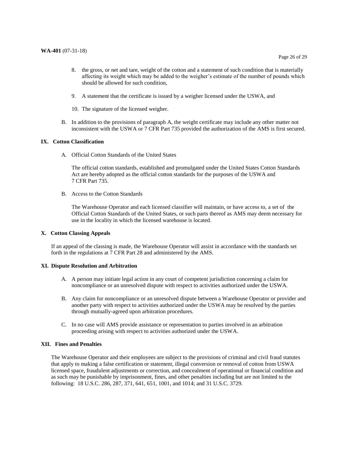- 9. A statement that the certificate is issued by a weigher licensed under the USWA, and
- 10. The signature of the licensed weigher.
- B. In addition to the provisions of paragraph A, the weight certificate may include any other matter not inconsistent with the USWA or 7 CFR Part 735 provided the authorization of the AMS is first secured.

#### **IX. Cotton Classification**

A. Official Cotton Standards of the United States

 The official cotton standards, established and promulgated under the United States Cotton Standards Act are hereby adopted as the official cotton standards for the purposes of the USWA and 7 CFR Part 735.

B. Access to the Cotton Standards

 The Warehouse Operator and each licensed classifier will maintain, or have access to, a set of the Official Cotton Standards of the United States, or such parts thereof as AMS may deem necessary for use in the locality in which the licensed warehouse is located.

#### **X. Cotton Classing Appeals**

 If an appeal of the classing is made, the Warehouse Operator will assist in accordance with the standards set forth in the regulations at 7 CFR Part 28 and administered by the AMS.

#### **XI. Dispute Resolution and Arbitration**

- A. A person may initiate legal action in any court of competent jurisdiction concerning a claim for noncompliance or an unresolved dispute with respect to activities authorized under the USWA.
- B. Any claim for noncompliance or an unresolved dispute between a Warehouse Operator or provider and another party with respect to activities authorized under the USWA may be resolved by the parties through mutually-agreed upon arbitration procedures.
- C. In no case will AMS provide assistance or representation to parties involved in an arbitration proceeding arising with respect to activities authorized under the USWA.

#### **XII. Fines and Penalties**

 The Warehouse Operator and their employees are subject to the provisions of criminal and civil fraud statutes that apply to making a false certification or statement, illegal conversion or removal of cotton from USWA licensed space, fraudulent adjustments or correction, and concealment of operational or financial condition and as such may be punishable by imprisonment, fines, and other penalties including but are not limited to the following: 18 U.S.C. 286, 287, 371, 641, 651, 1001, and 1014; and 31 U.S.C. 3729.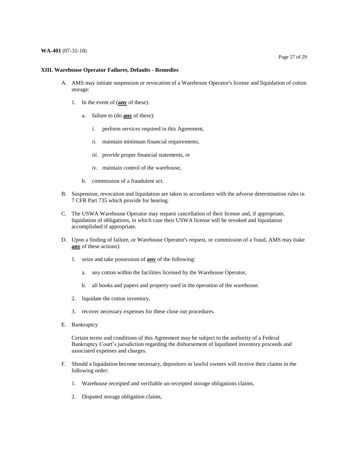#### **WA-401** (07-31-18)

#### **XIII. Warehouse Operator Failures, Defaults - Remedies**

- A. AMS may initiate suspension or revocation of a Warehouse Operator's license and liquidation of cotton storage:
	- 1. In the event of (**any** of these):
		- a. failure to (do **any** of these):
			- *i.* perform services required in this Agreement,
			- *ii.* maintain minimum financial requirements,
			- *iii*. provide proper financial statements, or
			- *iv*. maintain control of the warehouse,
		- b. commission of a fraudulent act.
- B. Suspension, revocation and liquidation are taken in accordance with the adverse determination rules in 7 CFR Part 735 which provide for hearing.
- C. The USWA Warehouse Operator may request cancellation of their license and, if appropriate, liquidation of obligations, in which case their USWA license will be revoked and liquidation accomplished if appropriate.
- D. Upon a finding of failure, or Warehouse Operator's request, or commission of a fraud, AMS may (take **any** of these actions):
	- 1. seize and take possession of **any** of the following:
		- a. any cotton within the facilities licensed by the Warehouse Operator,
		- b. all books and papers and property used in the operation of the warehouse.
	- 2. liquidate the cotton inventory,
	- 3. recover necessary expenses for these close out procedures.
- E. Bankruptcy

 Certain terms and conditions of this Agreement may be subject to the authority of a Federal Bankruptcy Court's jurisdiction regarding the disbursement of liquidated inventory proceeds and associated expenses and charges.

- F. Should a liquidation become necessary, depositors or lawful owners will receive their claims in the following order:
	- 1. Warehouse receipted and verifiable un-receipted storage obligations claims,
	- 2. Disputed storage obligation claims,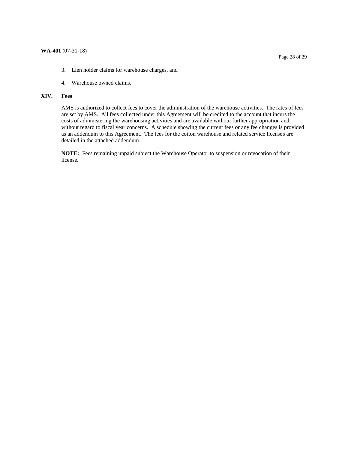- 3. Lien holder claims for warehouse charges, and
- 4. Warehouse owned claims.

#### **XIV. Fees**

 AMS is authorized to collect fees to cover the administration of the warehouse activities. The rates of fees are set by AMS. All fees collected under this Agreement will be credited to the account that incurs the costs of administering the warehousing activities and are available without further appropriation and without regard to fiscal year concerns. A schedule showing the current fees or any fee changes is provided as an addendum to this Agreement. The fees for the cotton warehouse and related service licenses are detailed in the attached addendum.

 **NOTE:** Fees remaining unpaid subject the Warehouse Operator to suspension or revocation of their license.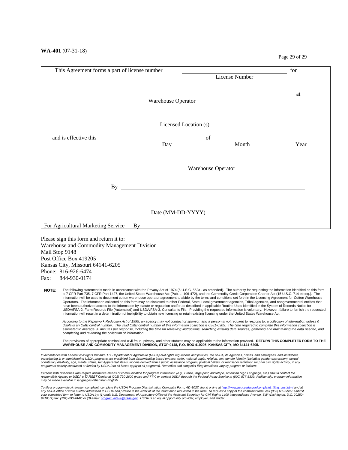Page 29 of 29

|                | This Agreement forms a part of license number                                                                                                                                                                                                                                                                                                                                                                                                                                                                                                                                                                                                                                                                                                                                                                                                                                                                                                                                                                                                                                                                                                                                                                                |                    |                           |                | for  |
|----------------|------------------------------------------------------------------------------------------------------------------------------------------------------------------------------------------------------------------------------------------------------------------------------------------------------------------------------------------------------------------------------------------------------------------------------------------------------------------------------------------------------------------------------------------------------------------------------------------------------------------------------------------------------------------------------------------------------------------------------------------------------------------------------------------------------------------------------------------------------------------------------------------------------------------------------------------------------------------------------------------------------------------------------------------------------------------------------------------------------------------------------------------------------------------------------------------------------------------------------|--------------------|---------------------------|----------------|------|
|                |                                                                                                                                                                                                                                                                                                                                                                                                                                                                                                                                                                                                                                                                                                                                                                                                                                                                                                                                                                                                                                                                                                                                                                                                                              |                    |                           | License Number |      |
|                |                                                                                                                                                                                                                                                                                                                                                                                                                                                                                                                                                                                                                                                                                                                                                                                                                                                                                                                                                                                                                                                                                                                                                                                                                              |                    |                           |                |      |
|                |                                                                                                                                                                                                                                                                                                                                                                                                                                                                                                                                                                                                                                                                                                                                                                                                                                                                                                                                                                                                                                                                                                                                                                                                                              | Warehouse Operator |                           |                | at   |
|                |                                                                                                                                                                                                                                                                                                                                                                                                                                                                                                                                                                                                                                                                                                                                                                                                                                                                                                                                                                                                                                                                                                                                                                                                                              |                    |                           |                |      |
|                |                                                                                                                                                                                                                                                                                                                                                                                                                                                                                                                                                                                                                                                                                                                                                                                                                                                                                                                                                                                                                                                                                                                                                                                                                              |                    |                           |                |      |
|                |                                                                                                                                                                                                                                                                                                                                                                                                                                                                                                                                                                                                                                                                                                                                                                                                                                                                                                                                                                                                                                                                                                                                                                                                                              |                    | Licensed Location (s)     |                |      |
|                | and is effective this                                                                                                                                                                                                                                                                                                                                                                                                                                                                                                                                                                                                                                                                                                                                                                                                                                                                                                                                                                                                                                                                                                                                                                                                        |                    | οf                        |                |      |
|                |                                                                                                                                                                                                                                                                                                                                                                                                                                                                                                                                                                                                                                                                                                                                                                                                                                                                                                                                                                                                                                                                                                                                                                                                                              | Day                |                           | Month          | Year |
|                |                                                                                                                                                                                                                                                                                                                                                                                                                                                                                                                                                                                                                                                                                                                                                                                                                                                                                                                                                                                                                                                                                                                                                                                                                              |                    |                           |                |      |
|                |                                                                                                                                                                                                                                                                                                                                                                                                                                                                                                                                                                                                                                                                                                                                                                                                                                                                                                                                                                                                                                                                                                                                                                                                                              |                    | <b>Warehouse Operator</b> |                |      |
|                |                                                                                                                                                                                                                                                                                                                                                                                                                                                                                                                                                                                                                                                                                                                                                                                                                                                                                                                                                                                                                                                                                                                                                                                                                              |                    |                           |                |      |
|                | By                                                                                                                                                                                                                                                                                                                                                                                                                                                                                                                                                                                                                                                                                                                                                                                                                                                                                                                                                                                                                                                                                                                                                                                                                           |                    |                           |                |      |
|                |                                                                                                                                                                                                                                                                                                                                                                                                                                                                                                                                                                                                                                                                                                                                                                                                                                                                                                                                                                                                                                                                                                                                                                                                                              |                    |                           |                |      |
|                |                                                                                                                                                                                                                                                                                                                                                                                                                                                                                                                                                                                                                                                                                                                                                                                                                                                                                                                                                                                                                                                                                                                                                                                                                              |                    |                           |                |      |
|                |                                                                                                                                                                                                                                                                                                                                                                                                                                                                                                                                                                                                                                                                                                                                                                                                                                                                                                                                                                                                                                                                                                                                                                                                                              | Date (MM-DD-YYYY)  |                           |                |      |
|                |                                                                                                                                                                                                                                                                                                                                                                                                                                                                                                                                                                                                                                                                                                                                                                                                                                                                                                                                                                                                                                                                                                                                                                                                                              |                    |                           |                |      |
|                | For Agricultural Marketing Service                                                                                                                                                                                                                                                                                                                                                                                                                                                                                                                                                                                                                                                                                                                                                                                                                                                                                                                                                                                                                                                                                                                                                                                           | By                 |                           |                |      |
|                | Please sign this form and return it to:                                                                                                                                                                                                                                                                                                                                                                                                                                                                                                                                                                                                                                                                                                                                                                                                                                                                                                                                                                                                                                                                                                                                                                                      |                    |                           |                |      |
|                | Warehouse and Commodity Management Division                                                                                                                                                                                                                                                                                                                                                                                                                                                                                                                                                                                                                                                                                                                                                                                                                                                                                                                                                                                                                                                                                                                                                                                  |                    |                           |                |      |
| Mail Stop 9148 |                                                                                                                                                                                                                                                                                                                                                                                                                                                                                                                                                                                                                                                                                                                                                                                                                                                                                                                                                                                                                                                                                                                                                                                                                              |                    |                           |                |      |
|                | Post Office Box 419205                                                                                                                                                                                                                                                                                                                                                                                                                                                                                                                                                                                                                                                                                                                                                                                                                                                                                                                                                                                                                                                                                                                                                                                                       |                    |                           |                |      |
|                | Kansas City, Missouri 64141-6205                                                                                                                                                                                                                                                                                                                                                                                                                                                                                                                                                                                                                                                                                                                                                                                                                                                                                                                                                                                                                                                                                                                                                                                             |                    |                           |                |      |
|                | Phone: 816-926-6474                                                                                                                                                                                                                                                                                                                                                                                                                                                                                                                                                                                                                                                                                                                                                                                                                                                                                                                                                                                                                                                                                                                                                                                                          |                    |                           |                |      |
| Fax:           | 844-930-0174                                                                                                                                                                                                                                                                                                                                                                                                                                                                                                                                                                                                                                                                                                                                                                                                                                                                                                                                                                                                                                                                                                                                                                                                                 |                    |                           |                |      |
| NOTE:          | The following statement is made in accordance with the Privacy Act of 1974 (5 U.S.C. 552a - as amended). The authority for requesting the information identified on this form<br>is 7 CFR Part 735, 7 CFR Part 1427, the United States Warehouse Act (Pub. L. 106-472), and the Commodity Credit Corporation Charter Act (15 U.S.C. 714 et seq.). The<br>information will be used to document cotton warehouse operator agreement to abide by the terms and conditions set forth in the Licensing Agreement for Cotton Warehouse<br>Operators. The information collected on this form may be disclosed to other Federal, State, Local government agencies, Tribal agencies, and nongovernmental entities that<br>have been authorized access to the information by statute or regulation and/or as described in applicable Routine Uses identified in the System of Records Notice for<br>USDA/FSA-2, Farm Records File (Automated) and USDA/FSA-3, Consultants File. Providing the requested information is voluntary. However, failure to furnish the requested<br>information will result in a determination of ineligibility to obtain new licensing or retain existing licensing under the United States Warehouse Act. |                    |                           |                |      |
|                | According to the Paperwork Reduction Act of 1995, an agency may not conduct or sponsor, and a person is not required to respond to, a collection of information unless it<br>displays an OMB control number. The valid OMB control number of this information collection is 0581-0305. The time required to complete this information collection is<br>estimated to average 30 minutes per response, including the time for reviewing instructions, searching existing data sources, gathering and maintaining the data needed, and<br>completing and reviewing the collection of information.                                                                                                                                                                                                                                                                                                                                                                                                                                                                                                                                                                                                                               |                    |                           |                |      |
|                | The provisions of appropriate criminal and civil fraud, privacy, and other statutes may be applicable to the information provided. RETURN THIS COMPLETED FORM TO THE<br>WAREHOUSE AND COMMODITY MANAGEMENT DIVISION, STOP 9148, P.O. BOX 419205, KANSAS CITY, MO 64141-6205.                                                                                                                                                                                                                                                                                                                                                                                                                                                                                                                                                                                                                                                                                                                                                                                                                                                                                                                                                 |                    |                           |                |      |
|                | In accordance with Federal civil rights law and U.S. Department of Agriculture (USDA) civil rights regulations and policies, the USDA, its Agencies, offices, and employees, and institutions<br>participating in or administering USDA programs are prohibited from discriminating based on race, color, national origin, religion, sex, gender identity (including gender expression), sexual<br>orientation, disability, age, marital status, family/parental status, income derived from a public assistance program, political beliefs, or reprisal or retaliation for prior civil rights activity, in any<br>program or activity conducted or funded by USDA (not all bases apply to all programs). Remedies and complaint filing deadlines vary by program or incident.                                                                                                                                                                                                                                                                                                                                                                                                                                               |                    |                           |                |      |

s with disabilities<br>sible Agency or U<br><sup>,</sup> made available i Persons with disabilities who require alternative means of communication for program information (e.g., Braille, large print, audiotape, American Sign Language, etc.) should contact the<br>responsible Agency or USDA's TARGET

*ile a pr*<br>y USDA<br>ur compl<br>10; (2) fa To file a program discrimination complaint, complete the USDA Program Discrimination Complaint Form, AD-3027, found online at <u>http://www.ascr.usda.gov/complaint\_filing\_cust.html</u> and at<br>any USDA office or write a letter a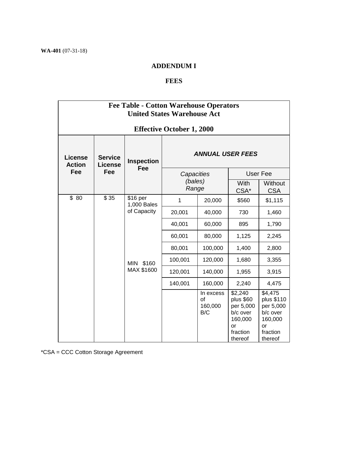## **ADDENDUM I**

## **FEES**

| <b>Fee Table - Cotton Warehouse Operators</b><br><b>United States Warehouse Act</b> |                           |                                                         |                                |                                   |                                                                                       |                                                                                        |
|-------------------------------------------------------------------------------------|---------------------------|---------------------------------------------------------|--------------------------------|-----------------------------------|---------------------------------------------------------------------------------------|----------------------------------------------------------------------------------------|
| <b>Effective October 1, 2000</b>                                                    |                           |                                                         |                                |                                   |                                                                                       |                                                                                        |
| <b>License</b><br><b>Action</b>                                                     | <b>Service</b><br>License | <b>Inspection</b><br><b>Fee</b>                         | <b>ANNUAL USER FEES</b>        |                                   |                                                                                       |                                                                                        |
| Fee                                                                                 | Fee                       |                                                         | Capacities<br>(bales)<br>Range |                                   | User Fee                                                                              |                                                                                        |
|                                                                                     |                           |                                                         |                                |                                   | <b>With</b><br>CSA*                                                                   | Without<br><b>CSA</b>                                                                  |
| \$80                                                                                | \$35                      | \$16 per<br>1,000 Bales<br>of Capacity<br>\$160<br>MIN. | $\mathbf{1}$                   | 20,000                            | \$560                                                                                 | \$1,115                                                                                |
|                                                                                     |                           |                                                         | 20,001                         | 40,000                            | 730                                                                                   | 1,460                                                                                  |
|                                                                                     |                           |                                                         | 40,001                         | 60,000                            | 895                                                                                   | 1,790                                                                                  |
|                                                                                     |                           |                                                         | 60,001                         | 80,000                            | 1,125                                                                                 | 2,245                                                                                  |
|                                                                                     |                           |                                                         | 80,001                         | 100,000                           | 1,400                                                                                 | 2,800                                                                                  |
|                                                                                     |                           |                                                         | 100,001                        | 120,000                           | 1,680                                                                                 | 3,355                                                                                  |
|                                                                                     | MAX \$1600                | 120,001                                                 | 140,000                        | 1,955                             | 3,915                                                                                 |                                                                                        |
|                                                                                     |                           |                                                         | 140,001                        | 160,000                           | 2,240                                                                                 | 4,475                                                                                  |
|                                                                                     |                           |                                                         |                                | In excess<br>of<br>160,000<br>B/C | \$2,240<br>plus \$60<br>per 5,000<br>b/c over<br>160,000<br>or<br>fraction<br>thereof | \$4,475<br>plus \$110<br>per 5,000<br>b/c over<br>160,000<br>or<br>fraction<br>thereof |

\*CSA = CCC Cotton Storage Agreement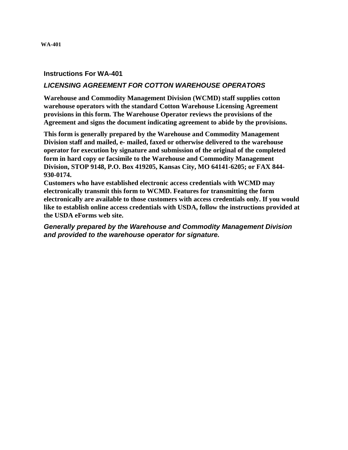## <span id="page-33-0"></span>**Instructions For WA-401**

## *LICENSING AGREEMENT FOR COTTON WAREHOUSE OPERATORS*

**Warehouse and Commodity Management Division (WCMD) staff supplies cotton warehouse operators with the standard Cotton Warehouse Licensing Agreement provisions in this form. The Warehouse Operator reviews the provisions of the Agreement and signs the document indicating agreement to abide by the provisions.** 

**This form is generally prepared by the Warehouse and Commodity Management Division staff and mailed, e- mailed, faxed or otherwise delivered to the warehouse operator for execution by signature and submission of the original of the completed form in hard copy or facsimile to the Warehouse and Commodity Management Division, STOP 9148, P.O. Box 419205, Kansas City, MO 64141-6205; or FAX 844- 930-0174.** 

 **electronically are available to those customers with access credentials only. If you would Customers who have established electronic access credentials with WCMD may electronically transmit this form to WCMD. Features for transmitting the form like to establish online access credentials with USDA, follow the instructions provided at the USDA eForms web site.** 

*Generally prepared by the Warehouse and Commodity Management Division and provided to the warehouse operator for signature.*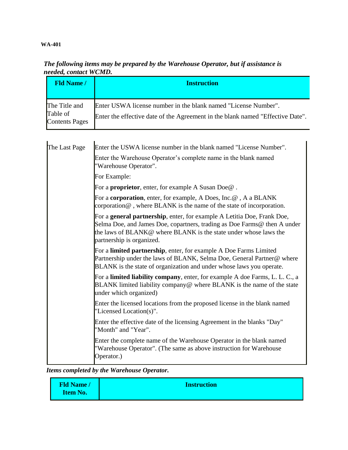## **WA-401**

| neeueu, coniuci wuwin.                             |                                                                                                                                                  |  |  |  |
|----------------------------------------------------|--------------------------------------------------------------------------------------------------------------------------------------------------|--|--|--|
| <b>Fld Name /</b>                                  | <b>Instruction</b>                                                                                                                               |  |  |  |
| The Title and<br>Table of<br><b>Contents Pages</b> | Enter USWA license number in the blank named "License Number".<br>Enter the effective date of the Agreement in the blank named "Effective Date". |  |  |  |

## *The following items may be prepared by the Warehouse Operator, but if assistance is needed, contact WCMD.*

| The Last Page | Enter the USWA license number in the blank named "License Number".                                                                                                                                                                                   |  |  |  |
|---------------|------------------------------------------------------------------------------------------------------------------------------------------------------------------------------------------------------------------------------------------------------|--|--|--|
|               | Enter the Warehouse Operator's complete name in the blank named<br>"Warehouse Operator".                                                                                                                                                             |  |  |  |
|               | For Example:                                                                                                                                                                                                                                         |  |  |  |
|               | For a <b>proprietor</b> , enter, for example A Susan Doe@.                                                                                                                                                                                           |  |  |  |
|               | For a corporation, enter, for example, A Does, Inc.@, A a BLANK<br>corporation $@$ , where BLANK is the name of the state of incorporation.                                                                                                          |  |  |  |
|               | For a general partnership, enter, for example A Letitia Doe, Frank Doe,<br>Selma Doe, and James Doe, copartners, trading as Doe Farms@ then A under<br>the laws of BLANK@ where BLANK is the state under whose laws the<br>partnership is organized. |  |  |  |
|               | For a <b>limited partnership</b> , enter, for example A Doe Farms Limited<br>Partnership under the laws of BLANK, Selma Doe, General Partner@ where<br>BLANK is the state of organization and under whose laws you operate.                          |  |  |  |
|               | For a limited liability company, enter, for example A doe Farms, L. L. C., a<br>BLANK limited liability company@ where BLANK is the name of the state<br>under which organized)                                                                      |  |  |  |
|               | Enter the licensed locations from the proposed license in the blank named<br>"Licensed Location(s)".                                                                                                                                                 |  |  |  |
|               | Enter the effective date of the licensing Agreement in the blanks "Day"<br>"Month" and "Year".                                                                                                                                                       |  |  |  |
|               | Enter the complete name of the Warehouse Operator in the blank named<br>"Warehouse Operator". (The same as above instruction for Warehouse<br>Operator.)                                                                                             |  |  |  |

*Items completed by the Warehouse Operator.* 

| <b>Fld Name /</b> | <b>Instruction</b> |
|-------------------|--------------------|
| <b>Item No.</b>   |                    |